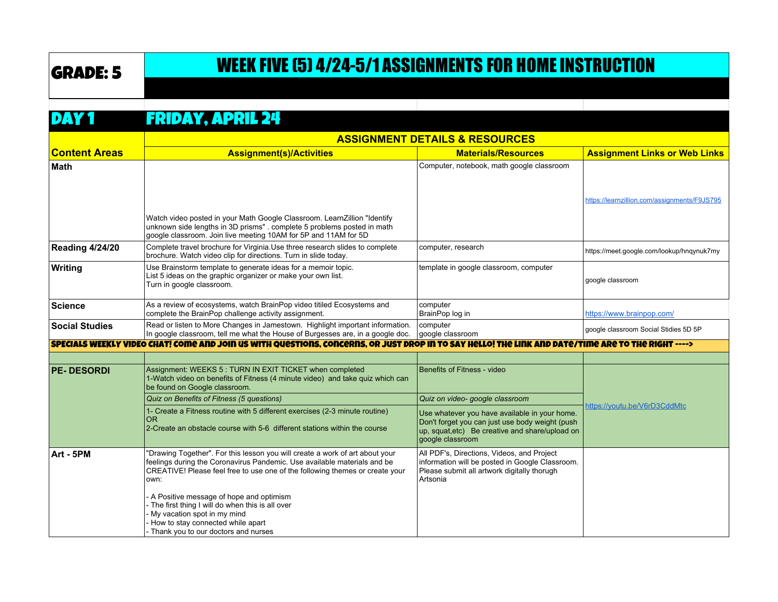# GRADE: 5 WEEK FIVE (5) 4/24-5/1 ASSIGNMENTS FOR HOME INSTRUCTION

### DAY 1 FRIDAY, APRIL 24

|                        | <b>ASSIGNMENT DETAILS &amp; RESOURCES</b>                                                                                                                                                                                                        |                                                                                                                                                                         |                                              |
|------------------------|--------------------------------------------------------------------------------------------------------------------------------------------------------------------------------------------------------------------------------------------------|-------------------------------------------------------------------------------------------------------------------------------------------------------------------------|----------------------------------------------|
| <b>Content Areas</b>   | <b>Assignment(s)/Activities</b>                                                                                                                                                                                                                  | <b>Materials/Resources</b>                                                                                                                                              | <b>Assignment Links or Web Links</b>         |
| <b>Math</b>            |                                                                                                                                                                                                                                                  | Computer, notebook, math google classroom                                                                                                                               |                                              |
|                        |                                                                                                                                                                                                                                                  |                                                                                                                                                                         | https://learnzillion.com/assignments/F9JS795 |
|                        | Watch video posted in your Math Google Classroom. LearnZillion "Identify<br>unknown side lengths in 3D prisms". complete 5 problems posted in math<br>google classroom. Join live meeting 10AM for 5P and 11AM for 5D                            |                                                                                                                                                                         |                                              |
| <b>Reading 4/24/20</b> | Complete travel brochure for Virginia.Use three research slides to complete<br>brochure. Watch video clip for directions. Turn in slide today.                                                                                                   | computer, research                                                                                                                                                      | https://meet.google.com/lookup/hngynuk7my    |
| Writing                | Use Brainstorm template to generate ideas for a memoir topic.<br>List 5 ideas on the graphic organizer or make your own list.<br>Turn in google classroom.                                                                                       | template in google classroom, computer                                                                                                                                  | google classroom                             |
| <b>Science</b>         | As a review of ecosystems, watch BrainPop video titiled Ecosystems and<br>complete the BrainPop challenge activity assignment.                                                                                                                   | computer<br>BrainPop log in                                                                                                                                             | https://www.brainpop.com/                    |
| <b>Social Studies</b>  | Read or listen to More Changes in Jamestown. Highlight important information.<br>In google classroom, tell me what the House of Burgesses are, in a google doc.                                                                                  | computer<br>google classroom                                                                                                                                            | google classroom Social Stidies 5D 5P        |
|                        | SPECIALS WEEKLY VIDEO CHAT! COME AND JOIN US WITH QUESTIONS, CONCERNS, OR JUST DROP IN TO SAY HELLO! THE LINK AND DATE/TIME ARE TO THE RIGHT ---->                                                                                               |                                                                                                                                                                         |                                              |
|                        |                                                                                                                                                                                                                                                  |                                                                                                                                                                         |                                              |
| <b>PE-DESORDI</b>      | Assignment: WEEKS 5 : TURN IN EXIT TICKET when completed<br>1-Watch video on benefits of Fitness (4 minute video) and take quiz which can<br>be found on Google classroom.                                                                       | Benefits of Fitness - video                                                                                                                                             |                                              |
|                        | Quiz on Benefits of Fitness (5 questions)                                                                                                                                                                                                        | Quiz on video- google classroom                                                                                                                                         | https://youtu.be/V6rD3CddMtc                 |
|                        | 1- Create a Fitness routine with 5 different exercises (2-3 minute routine)<br>OR.<br>2-Create an obstacle course with 5-6 different stations within the course                                                                                  | Use whatever you have available in your home.<br>Don't forget you can just use body weight (push<br>up, squat, etc) Be creative and share/upload on<br>google classroom |                                              |
| Art - 5PM              | "Drawing Together". For this lesson you will create a work of art about your<br>feelings during the Coronavirus Pandemic. Use available materials and be<br>CREATIVE! Please feel free to use one of the following themes or create your<br>own: | All PDF's, Directions, Videos, and Project<br>information will be posted in Google Classroom.<br>Please submit all artwork digitally thorugh<br>Artsonia                |                                              |
|                        | A Positive message of hope and optimism<br>The first thing I will do when this is all over<br>My vacation spot in my mind<br>How to stay connected while apart<br>- Thank you to our doctors and nurses                                          |                                                                                                                                                                         |                                              |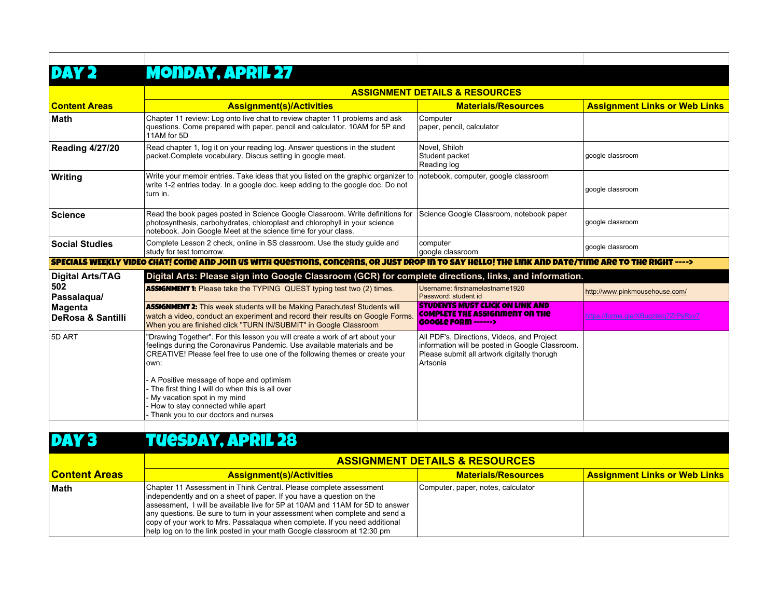| DAY 2                               | <b>MONDAY, APRIL 27</b>                                                                                                                                                                                                                                                                                                                          |                                                                                                                                                          |                                      |  |
|-------------------------------------|--------------------------------------------------------------------------------------------------------------------------------------------------------------------------------------------------------------------------------------------------------------------------------------------------------------------------------------------------|----------------------------------------------------------------------------------------------------------------------------------------------------------|--------------------------------------|--|
|                                     | <b>ASSIGNMENT DETAILS &amp; RESOURCES</b>                                                                                                                                                                                                                                                                                                        |                                                                                                                                                          |                                      |  |
| <b>Content Areas</b>                | <b>Assignment(s)/Activities</b>                                                                                                                                                                                                                                                                                                                  | <b>Materials/Resources</b>                                                                                                                               | <b>Assignment Links or Web Links</b> |  |
| <b>Math</b>                         | Chapter 11 review: Log onto live chat to review chapter 11 problems and ask<br>questions. Come prepared with paper, pencil and calculator. 10AM for 5P and<br>11AM for 5D                                                                                                                                                                        | Computer<br>paper, pencil, calculator                                                                                                                    |                                      |  |
| <b>Reading 4/27/20</b>              | Read chapter 1, log it on your reading log. Answer questions in the student<br>packet.Complete vocabulary. Discus setting in google meet.                                                                                                                                                                                                        | Novel. Shiloh<br>Student packet<br>Reading log                                                                                                           | google classroom                     |  |
| Writing                             | Write your memoir entries. Take ideas that you listed on the graphic organizer to<br>write 1-2 entries today. In a google doc. keep adding to the google doc. Do not<br>turn in.                                                                                                                                                                 | notebook, computer, google classroom                                                                                                                     | google classroom                     |  |
| Science                             | Read the book pages posted in Science Google Classroom. Write definitions for<br>photosynthesis, carbohydrates, chloroplast and chlorophyll in your science<br>notebook. Join Google Meet at the science time for your class.                                                                                                                    | Science Google Classroom, notebook paper                                                                                                                 | google classroom                     |  |
| <b>Social Studies</b>               | Complete Lesson 2 check, online in SS classroom. Use the study guide and<br>study for test tomorrow.                                                                                                                                                                                                                                             | computer<br>google classroom                                                                                                                             | google classroom                     |  |
|                                     | SPECIALS WEEKLY VIDEO CHAT! COME AND JOIN US WITH QUESTIONS, CONCERNS, OR JUST DROP IN TO SAY HELLO! THE LINK AND DATE/TIME ARE TO THE RIGHT ---->                                                                                                                                                                                               |                                                                                                                                                          |                                      |  |
| <b>Digital Arts/TAG</b>             | Digital Arts: Please sign into Google Classroom (GCR) for complete directions, links, and information.                                                                                                                                                                                                                                           |                                                                                                                                                          |                                      |  |
| 502<br>Passalaqua/                  | <b>ASSIGNMENT 1:</b> Please take the TYPING QUEST typing test two (2) times.                                                                                                                                                                                                                                                                     | Username: firstnamelastname1920<br>Password: student id                                                                                                  | http://www.pinkmousehouse.com/       |  |
| <b>Magenta</b><br>DeRosa & Santilli | ASSIGNMENT 2: This week students will be Making Parachutes! Students will<br>watch a video, conduct an experiment and record their results on Google Forms<br>When you are finished click "TURN IN/SUBMIT" in Google Classroom                                                                                                                   | <b>STUDENTS MUST CLICK ON LINK AND</b><br><b>COMPLETE THE ASSIGNMENT ON THE</b><br><b>GOOGLE FORM ------&gt;</b>                                         | https://forms.gle/XBugzbkg7ZrPsRvv7  |  |
| 5D ART                              | "Drawing Together". For this lesson you will create a work of art about your<br>feelings during the Coronavirus Pandemic. Use available materials and be<br>CREATIVE! Please feel free to use one of the following themes or create your<br>own:<br>- A Positive message of hope and optimism<br>The first thing I will do when this is all over | All PDF's, Directions, Videos, and Project<br>information will be posted in Google Classroom.<br>Please submit all artwork digitally thorugh<br>Artsonia |                                      |  |
|                                     | - My vacation spot in my mind<br>- How to stay connected while apart<br>- Thank you to our doctors and nurses                                                                                                                                                                                                                                    |                                                                                                                                                          |                                      |  |

### DAY 3 Tuesday, April 28

#### **Content Areas ASSIGNMENT DETAILS & RESOURCES Assignment(s)/Activities**  Materials/Resources **Assignment Links or Web Links Assignment Links** or Web Links **Math** Chapter 11 Assessment in Think Central. Please complete assessment independently and on a sheet of paper. If you have a question on the assessment, I will be available live for 5P at 10AM and 11AM for 5D to answer any questions. Be sure to turn in your assessment when complete and send a copy of your work to Mrs. Passalaqua when complete. If you need additional help log on to the link posted in your math Google classroom at 12:30 pm Computer, paper, notes, calculator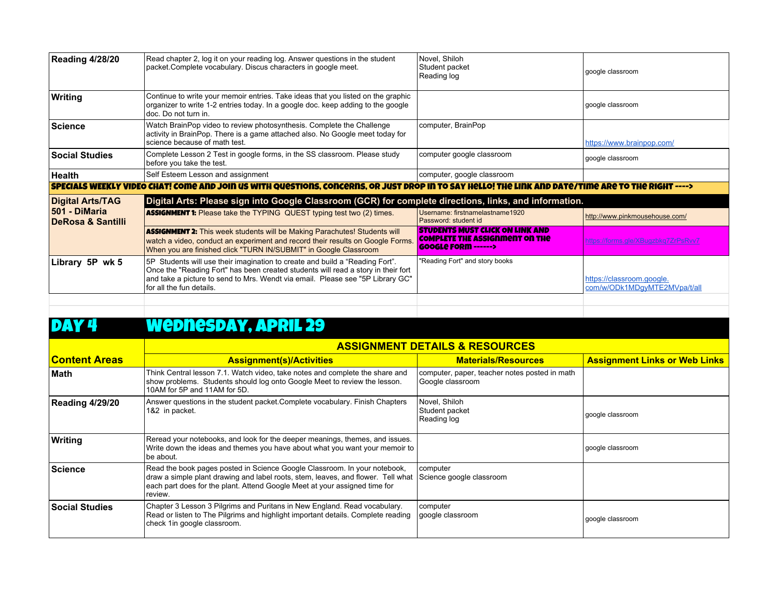| Reading 4/28/20                               | Read chapter 2, log it on your reading log. Answer questions in the student<br>packet.Complete vocabulary. Discus characters in google meet.                                                                                                                                    | Novel, Shiloh<br>Student packet<br>Reading log                                                            | google classroom                                          |
|-----------------------------------------------|---------------------------------------------------------------------------------------------------------------------------------------------------------------------------------------------------------------------------------------------------------------------------------|-----------------------------------------------------------------------------------------------------------|-----------------------------------------------------------|
| Writing                                       | Continue to write your memoir entries. Take ideas that you listed on the graphic<br>organizer to write 1-2 entries today. In a google doc. keep adding to the google<br>doc. Do not turn in.                                                                                    |                                                                                                           | google classroom                                          |
| ∣Science                                      | Watch BrainPop video to review photosynthesis. Complete the Challenge<br>activity in BrainPop. There is a game attached also. No Google meet today for<br>science because of math test.                                                                                         | computer, BrainPop                                                                                        | https://www.brainpop.com/                                 |
| <b>Social Studies</b>                         | Complete Lesson 2 Test in google forms, in the SS classroom. Please study<br>before you take the test.                                                                                                                                                                          | computer google classroom                                                                                 | google classroom                                          |
| ∣Health                                       | Self Esteem Lesson and assignment                                                                                                                                                                                                                                               | computer, google classroom                                                                                |                                                           |
|                                               | SPECIALS WEEKLY VIDEO CHAT! COME AND JOIN US WITH QUESTIONS, CONCERNS, OR JUST DROP IN TO SAY HELLO! THE LINK AND DATE/TIME ARE TO THE RIGHT ---->                                                                                                                              |                                                                                                           |                                                           |
| <b>Digital Arts/TAG</b>                       | Digital Arts: Please sign into Google Classroom (GCR) for complete directions, links, and information.                                                                                                                                                                          |                                                                                                           |                                                           |
| 501 - DiMaria<br><b>DeRosa &amp; Santilli</b> | <b>ASSIGNMENT 1:</b> Please take the TYPING QUEST typing test two (2) times.                                                                                                                                                                                                    | Username: firstnamelastname1920<br>Password: student id                                                   | http://www.pinkmousehouse.com/                            |
|                                               | <b>ASSIGNMENT 2:</b> This week students will be Making Parachutes! Students will<br>watch a video, conduct an experiment and record their results on Google Forms.<br>When you are finished click "TURN IN/SUBMIT" in Google Classroom                                          | <b>STUDENTS MUST CLICK ON LINK AND</b><br>COMPLETE THE ASSIGNMENT ON THE<br><b>GOOGLE FORM ------&gt;</b> | https://forms.gle/XBugzbkg7ZrPsRvv7                       |
| Library 5P wk 5                               | 5P Students will use their imagination to create and build a "Reading Fort".<br>Once the "Reading Fort" has been created students will read a story in their fort<br>and take a picture to send to Mrs. Wendt via email. Please see "5P Library GC"<br>for all the fun details. | "Reading Fort" and story books                                                                            | https://classroom.google.<br>com/w/ODk1MDgyMTE2MVpa/t/all |
|                                               |                                                                                                                                                                                                                                                                                 |                                                                                                           |                                                           |

## DAY 4 Wednesday, APRIL 29

|                             | <b>ASSIGNMENT DETAILS &amp; RESOURCES</b>                                                                                                                                                                                                              |                                                                   |                                      |
|-----------------------------|--------------------------------------------------------------------------------------------------------------------------------------------------------------------------------------------------------------------------------------------------------|-------------------------------------------------------------------|--------------------------------------|
| <u><b>Content Areas</b></u> | <b>Assignment(s)/Activities</b>                                                                                                                                                                                                                        | <b>Materials/Resources</b>                                        | <b>Assignment Links or Web Links</b> |
| ∣Math                       | Think Central lesson 7.1. Watch video, take notes and complete the share and<br>show problems. Students should log onto Google Meet to review the lesson.<br>10AM for 5P and 11AM for 5D.                                                              | computer, paper, teacher notes posted in math<br>Google classroom |                                      |
| <b>Reading 4/29/20</b>      | Answer questions in the student packet. Complete vocabulary. Finish Chapters<br>1&2 in packet.                                                                                                                                                         | Novel, Shiloh<br>Student packet<br>Reading log                    | google classroom                     |
| Writing                     | Reread your notebooks, and look for the deeper meanings, themes, and issues.<br>Write down the ideas and themes you have about what you want your memoir to<br>be about.                                                                               |                                                                   | google classroom                     |
| ∣Science                    | Read the book pages posted in Science Google Classroom. In your notebook,<br>draw a simple plant drawing and label roots, stem, leaves, and flower. Tell what<br>each part does for the plant. Attend Google Meet at your assigned time for<br>review. | computer<br>Science google classroom                              |                                      |
| <b>Social Studies</b>       | Chapter 3 Lesson 3 Pilgrims and Puritans in New England. Read vocabulary.<br>Read or listen to The Pilgrims and highlight important details. Complete reading<br>check 1in google classroom.                                                           | computer<br>google classroom                                      | google classroom                     |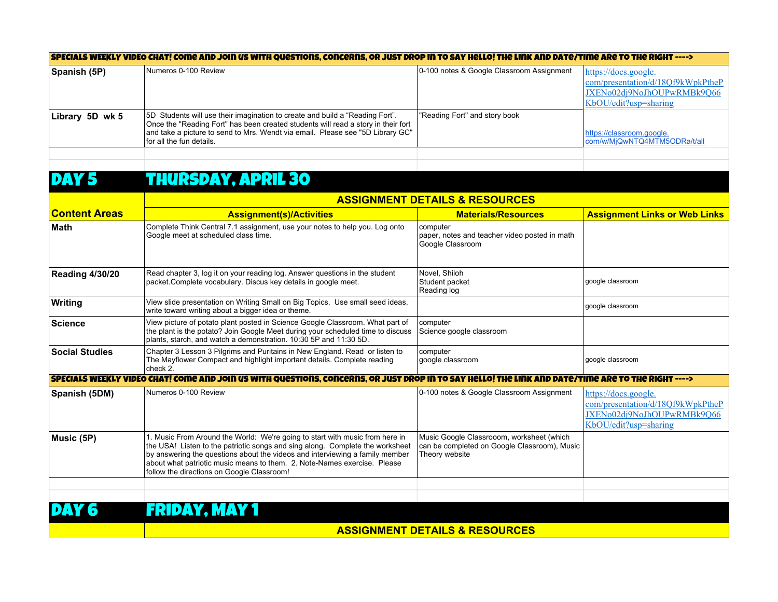| SPECIALS WEEKLY VIDEO CHAT! COME AND JOIN US WITH QUESTIONS, CONCERNS, OR JUST DROP IN TO SAY HELLO! THE LINK AND DATE/TIME ARE TO THE RIGHT ----> |                                                                                                                                                                                                                                                                                  |                                           |                                                                                                                  |
|----------------------------------------------------------------------------------------------------------------------------------------------------|----------------------------------------------------------------------------------------------------------------------------------------------------------------------------------------------------------------------------------------------------------------------------------|-------------------------------------------|------------------------------------------------------------------------------------------------------------------|
| Spanish (5P)                                                                                                                                       | Numeros 0-100 Review                                                                                                                                                                                                                                                             | 0-100 notes & Google Classroom Assignment | https://docs.google.<br>com/presentation/d/18Qf9kWpkPtheP<br>JXENo02dj9NoJhOUPwRMBk9O66<br>KbOU/edit?usp=sharing |
| Library 5D wk 5                                                                                                                                    | 15D Students will use their imagination to create and build a "Reading Fort".<br>Once the "Reading Fort" has been created students will read a story in their fort<br>and take a picture to send to Mrs. Wendt via email. Please see "5D Library GC"<br>for all the fun details. | Feading Fort" and story book              | https://classroom.google.<br>com/w/MjQwNTQ4MTM5ODRa/t/all                                                        |

## DAY 5 THURSDAY, APRIL 30

|                        |                                                                                                                                                                                                                                                                                                                                                                         | <b>ASSIGNMENT DETAILS &amp; RESOURCES</b>                                                                   |                                                                                                                  |  |
|------------------------|-------------------------------------------------------------------------------------------------------------------------------------------------------------------------------------------------------------------------------------------------------------------------------------------------------------------------------------------------------------------------|-------------------------------------------------------------------------------------------------------------|------------------------------------------------------------------------------------------------------------------|--|
| <b>Content Areas</b>   | <b>Assignment(s)/Activities</b>                                                                                                                                                                                                                                                                                                                                         | <b>Materials/Resources</b>                                                                                  | <b>Assignment Links or Web Links</b>                                                                             |  |
| Math                   | Complete Think Central 7.1 assignment, use your notes to help you. Log onto<br>Google meet at scheduled class time.                                                                                                                                                                                                                                                     | computer<br>paper, notes and teacher video posted in math<br>Google Classroom                               |                                                                                                                  |  |
| <b>Reading 4/30/20</b> | Read chapter 3, log it on your reading log. Answer questions in the student<br>packet.Complete vocabulary. Discus key details in google meet.                                                                                                                                                                                                                           | Novel, Shiloh<br>Student packet<br>Reading log                                                              | google classroom                                                                                                 |  |
| Writing                | View slide presentation on Writing Small on Big Topics. Use small seed ideas,<br>write toward writing about a bigger idea or theme.                                                                                                                                                                                                                                     |                                                                                                             | google classroom                                                                                                 |  |
| Science                | View picture of potato plant posted in Science Google Classroom. What part of<br>the plant is the potato? Join Google Meet during your scheduled time to discuss<br>plants, starch, and watch a demonstration. 10:30 5P and 11:30 5D.                                                                                                                                   | computer<br>Science google classroom                                                                        |                                                                                                                  |  |
| <b>Social Studies</b>  | Chapter 3 Lesson 3 Pilgrims and Puritains in New England. Read or listen to<br>The Mayflower Compact and highlight important details. Complete reading<br>check 2.                                                                                                                                                                                                      | computer<br>google classroom                                                                                | google classroom                                                                                                 |  |
|                        | <u>  SPECIALS WEEKLY VIDEO CHAT! COME AND JOIN US WITH QUESTIONS, CONCERNS, OR JUST DROP IN TO SAY HELLO! THE LINK AND DATE/TIME ARE TO THE RIGHT ----&gt;</u>                                                                                                                                                                                                          |                                                                                                             |                                                                                                                  |  |
| Spanish (5DM)          | Numeros 0-100 Review                                                                                                                                                                                                                                                                                                                                                    | 0-100 notes & Google Classroom Assignment                                                                   | https://docs.google.<br>com/presentation/d/18Qf9kWpkPtheP<br>JXEN002di9NoJhOUPwRMBk9O66<br>KbOU/edit?usp=sharing |  |
| Music (5P)             | 1. Music From Around the World: We're going to start with music from here in<br>the USA! Listen to the patriotic songs and sing along. Complete the worksheet<br>by answering the questions about the videos and interviewing a family member<br>about what patriotic music means to them. 2. Note-Names exercise. Please<br>follow the directions on Google Classroom! | Music Google Classrooom, worksheet (which<br>can be completed on Google Classroom), Music<br>Theory website |                                                                                                                  |  |
|                        |                                                                                                                                                                                                                                                                                                                                                                         |                                                                                                             |                                                                                                                  |  |
| DAY 6                  | <b>FRIDAY, MAY 1</b>                                                                                                                                                                                                                                                                                                                                                    |                                                                                                             |                                                                                                                  |  |
|                        | <b>ASSIGNMENT DETAILS &amp; RESOURCES</b>                                                                                                                                                                                                                                                                                                                               |                                                                                                             |                                                                                                                  |  |